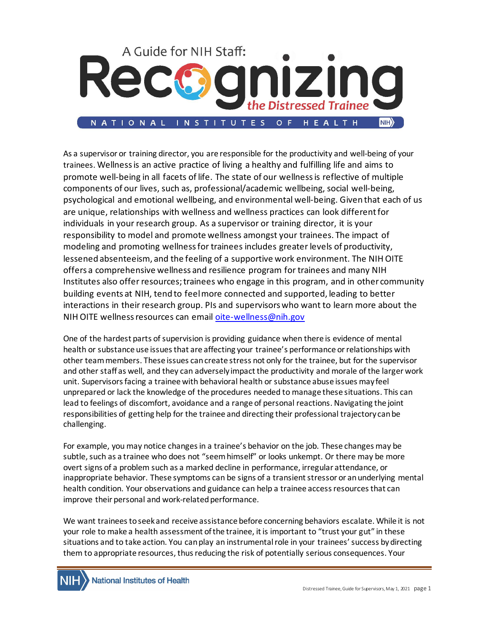

As a supervisor or training director, you are responsible for the productivity and well-being of your trainees. Wellnessis an active practice of living a healthy and fulfilling life and aims to promote well-being in all facets of life. The state of our wellnessis reflective of multiple components of our lives, such as, professional/academic wellbeing, social well-being, psychological and emotional wellbeing, and environmental well-being. Given that each of us are unique, relationships with wellness and wellness practices can look differentfor individuals in your research group. As a supervisor or training director, it is your responsibility to model and promote wellness amongst your trainees. The impact of modeling and promoting wellnessfor trainees includes greater levels of productivity, lessened absenteeism, and the feeling of a supportive work environment. The NIH OITE offers a comprehensive wellness and resilience program for trainees and many NIH Institutes also offer resources;trainees who engage in this program, and in other community building events at NIH, tend to feelmore connected and supported, leading to better interactions in their research group. PIs and supervisorswho want to learn more about the NIH OITE wellnessresources can email [oite-wellness@nih.gov](mailto:oite-wellness@nih.gov)

One of the hardest parts of supervision is providing guidance when there is evidence of mental health or substance use issues that are affecting your trainee's performance or relationships with other team members. These issues can create stress not only for the trainee, but for the supervisor and other staff as well, and they can adversely impact the productivity and morale of the larger work unit. Supervisors facing a trainee with behavioral health or substance abuse issues may feel unprepared or lack the knowledge of the procedures needed to manage these situations. This can lead to feelings of discomfort, avoidance and a range of personal reactions. Navigating the joint responsibilities of getting help for the trainee and directing their professional trajectory can be challenging.

For example, you may notice changes in a trainee's behavior on the job. These changes may be subtle, such as a trainee who does not "seem himself" or looks unkempt. Or there may be more overt signs of a problem such as a marked decline in performance, irregular attendance, or inappropriate behavior. These symptoms can be signs of a transient stressor or an underlying mental health condition. Your observations and guidance can help a trainee access resources that can improve their personal and work-related performance.

We want trainees toseek and receive assistance before concerning behaviors escalate. While it is not your role to make a health assessment of the trainee, it is important to "trust your gut" in these situations and to take action. You can play an instrumental role in your trainees' success by directing them to appropriate resources, thus reducing the risk of potentially serious consequences. Your

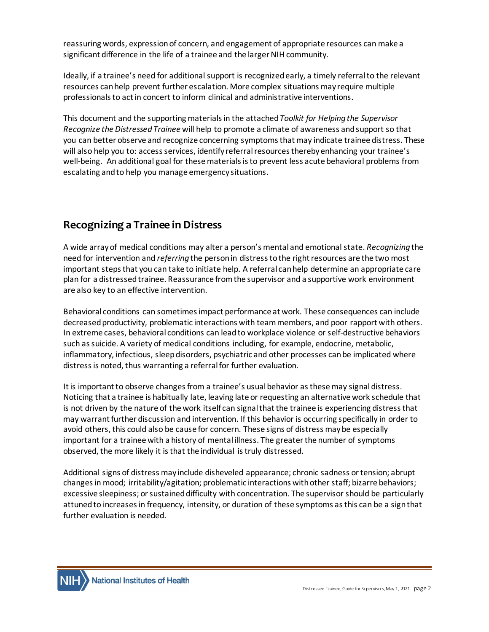reassuring words, expression of concern, and engagement of appropriate resources can make a significant difference in the life of a trainee and the larger NIH community.

Ideally, if a trainee's need for additional support is recognized early, a timely referral to the relevant resources can help prevent further escalation. More complex situations may require multiple professionals to act in concert to inform clinical and administrative interventions.

This document and the supporting materials in the attached *Toolkit for Helping the Supervisor Recognize the Distressed Trainee* will help to promote a climate of awareness and support so that you can better observe and recognize concerning symptoms that may indicate trainee distress. These will also help you to: access services, identify referral resources thereby enhancing your trainee's well-being. An additional goal for these materials is to prevent less acute behavioral problems from escalating and to help you manage emergency situations.

# **Recognizing a Trainee in Distress**

A wide array of medical conditions may alter a person's mental and emotional state. *Recognizing* the need for intervention and *referring* the person in distress to the right resources are the two most important steps that you can take to initiate help. A referral can help determine an appropriate care plan for a distressed trainee. Reassurance from the supervisor and a supportive work environment are also key to an effective intervention.

Behavioral conditions can sometimes impact performance at work. These consequences can include decreased productivity, problematic interactions with team members, and poor rapport with others. In extreme cases, behavioral conditions can lead to workplace violence or self-destructive behaviors such as suicide. A variety of medical conditions including, for example, endocrine, metabolic, inflammatory, infectious, sleep disorders, psychiatric and other processes can be implicated where distress is noted, thus warranting a referral for further evaluation.

It is important to observe changes from a trainee's usual behavior as thesemay signal distress. Noticing that a trainee is habitually late, leaving late or requesting an alternative work schedule that is not driven by the nature of the work itself can signal that the trainee is experiencing distress that may warrant further discussion and intervention. If this behavior is occurring specifically in order to avoid others, this could also be cause for concern. These signs of distress maybe especially important for a trainee with a history of mental illness. The greater the number of symptoms observed, the more likely it is that the individual is truly distressed.

Additional signs of distress may include disheveled appearance; chronic sadness or tension; abrupt changesin mood; irritability/agitation; problematic interactions with other staff; bizarre behaviors; excessive sleepiness; or sustained difficulty with concentration. The supervisor should be particularly attuned to increasesin frequency, intensity, or duration of these symptoms as this can be a sign that further evaluation is needed.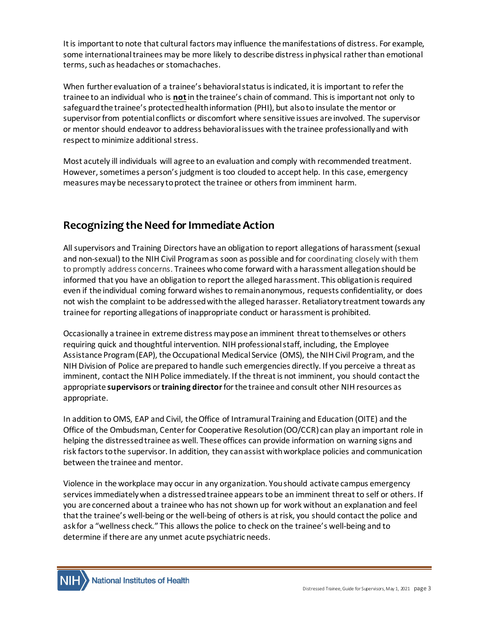It is important to note that cultural factors may influence the manifestations of distress. For example, some international trainees may be more likely to describe distress in physical rather than emotional terms, such as headaches or stomachaches.

When further evaluation of a trainee's behavioral status is indicated, it is important to refer the trainee to an individual who is **not**in the trainee's chain of command. This is important not only to safeguard the trainee's protected health information (PHI), but also to insulate the mentor or supervisor from potential conflicts or discomfort where sensitive issues are involved. The supervisor or mentor should endeavor to address behavioral issues with the trainee professionally and with respect to minimize additional stress.

Most acutely ill individuals will agree to an evaluation and comply with recommended treatment. However, sometimes a person's judgment is too clouded to accept help. In this case, emergency measures may be necessary to protect the trainee or others from imminent harm.

# **Recognizing the Need for Immediate Action**

All supervisors and Training Directors have an obligation to report allegations of harassment (sexual and non-sexual) to the NIH Civil Program as soon as possible and for coordinating closely with them to promptly address concerns. Trainees who come forward with a harassment allegation should be informed that you have an obligation to report the alleged harassment. This obligation is required even if the individual coming forward wishes to remain anonymous, requests confidentiality, or does not wish the complaint to be addressed with the alleged harasser. Retaliatory treatment towards any trainee for reporting allegations of inappropriate conduct or harassment is prohibited.

Occasionally a trainee in extreme distress may pose an imminent threat to themselves or others requiring quick and thoughtful intervention. NIH professional staff, including, the Employee Assistance Program (EAP), the Occupational Medical Service (OMS), the NIH Civil Program, and the NIH Division of Police are prepared to handle such emergencies directly. If you perceive a threat as imminent, contact the NIH Police immediately. If the threat is not imminent, you should contact the appropriate **supervisors** or **training director**for the trainee and consult other NIH resources as appropriate.

In addition to OMS, EAP and Civil, the Office of Intramural Training and Education (OITE) and the Office of the Ombudsman, Center for Cooperative Resolution (OO/CCR) can play an important role in helping the distressed trainee as well. These offices can provide information on warning signs and risk factors to the supervisor. In addition, they can assist with workplace policies and communication between the trainee and mentor.

Violence in the workplace may occur in any organization. You should activate campus emergency services immediately when a distressed trainee appears to be an imminent threat to self or others. If you are concerned about a trainee who has not shown up for work without an explanation and feel thatthe trainee's well-being or the well-being of othersis at risk, you should contact the police and ask for a "wellness check." This allows the police to check on the trainee's well-being and to determine if there are any unmet acute psychiatric needs.

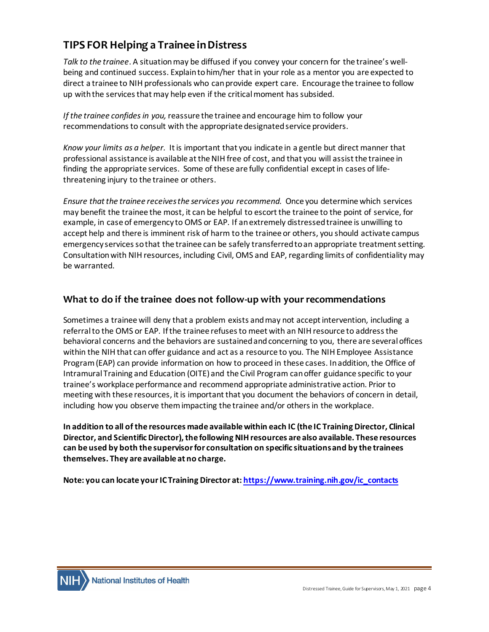# **TIPS FOR Helping a Trainee in Distress**

*Talk to the trainee*. A situation may be diffused if you convey your concern for the trainee's wellbeing and continued success. Explain to him/her that in your role as a mentor you are expected to direct a trainee to NIH professionals who can provide expert care. Encourage the trainee to follow up with the services that may help even if the critical moment has subsided.

*If the trainee confides in you,* reassure the trainee and encourage him to follow your recommendations to consult with the appropriate designated service providers.

*Know your limits as a helper.*It is important that you indicate in a gentle but direct manner that professional assistance is available at the NIH free of cost, and that you will assist the trainee in finding the appropriate services. Some of these are fully confidential except in cases of lifethreatening injury to the trainee or others.

*Ensure thatthe trainee receives the services you recommend.* Once you determine which services may benefit the trainee the most, it can be helpful to escort the trainee to the point of service, for example, in case of emergency to OMS or EAP. If an extremely distressed trainee is unwilling to accept help and there is imminent risk of harm to the trainee or others, you should activate campus emergency services so that the trainee can be safely transferred to an appropriate treatmentsetting. Consultation with NIH resources, including Civil, OMS and EAP, regarding limits of confidentiality may be warranted.

## **What to do if the trainee does not follow-up with your recommendations**

Sometimes a trainee will deny that a problem exists and may not accept intervention, including a referral to the OMS or EAP. If the trainee refuses to meet with an NIH resource to address the behavioral concerns and the behaviors are sustained and concerning to you, there are several offices within the NIH that can offer guidance and act as a resource to you. The NIH Employee Assistance Program (EAP) can provide information on how to proceed in these cases. In addition, the Office of Intramural Training and Education (OITE) and the Civil Program can offer guidance specific to your trainee's workplace performance and recommend appropriate administrative action. Prior to meeting with these resources, it is important that you document the behaviors of concern in detail, including how you observe them impacting the trainee and/or others in the workplace.

**In addition to all of the resources made available within each IC (the IC Training Director, Clinical Director, and Scientific Director), the following NIH resources are also available. These resources can be used by both the supervisor for consultation on specific situations and by the trainees themselves. They are available at no charge.**

**Note: you can locate your IC Training Director at[: https://www.training.nih.gov/ic\\_contacts](https://www.training.nih.gov/ic_contacts)**

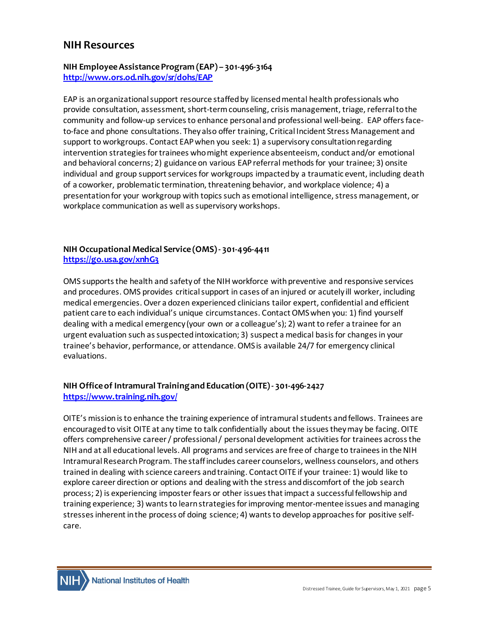### **NIH Resources**

#### **NIH Employee Assistance Program (EAP) – 301-496-3164 <http://www.ors.od.nih.gov/sr/dohs/EAP>**

EAP is an organizational support resource staffed by licensed mental health professionals who provide consultation, assessment, short-term counseling, crisis management, triage, referral to the community and follow-up services to enhance personal and professional well-being. EAP offers faceto-face and phone consultations. They also offer training, Critical Incident Stress Management and support to workgroups. Contact EAP when you seek: 1) a supervisory consultation regarding intervention strategies for trainees who might experience absenteeism, conduct and/or emotional and behavioral concerns; 2) guidance on various EAP referral methods for your trainee; 3) onsite individual and group support services for workgroups impacted by a traumatic event, including death of a coworker, problematic termination, threatening behavior, and workplace violence; 4) a presentationfor your workgroup with topics such as emotional intelligence, stress management, or workplace communication as well as supervisory workshops.

#### **NIH Occupational Medical Service (OMS) - 301-496-4411 <https://go.usa.gov/xnhG3>**

OMS supports the health and safety of the NIH workforce with preventive and responsive services and procedures. OMS provides critical support in cases of an injured or acutely ill worker, including medical emergencies. Over a dozen experienced clinicians tailor expert, confidential and efficient patient care to each individual's unique circumstances. Contact OMS when you: 1) find yourself dealing with a medical emergency (your own or a colleague's); 2) want to refer a trainee for an urgent evaluation such as suspected intoxication; 3) suspect a medical basis for changes in your trainee's behavior, performance, or attendance. OMS is available 24/7 for emergency clinical evaluations.

#### **NIH Office of Intramural Training and Education (OITE) - 301-496-2427 <https://www.training.nih.gov/>**

OITE's mission is to enhance the training experience of intramural students and fellows. Trainees are encouraged to visit OITE at any time to talk confidentially about the issues they may be facing. OITE offers comprehensive career / professional / personal development activities for trainees across the NIH and at all educational levels. All programs and services are free of charge to trainees in the NIH Intramural Research Program. The staff includes career counselors, wellness counselors, and others trained in dealing with science careers and training. Contact OITE if your trainee: 1) would like to explore career direction or options and dealing with the stress and discomfort of the job search process; 2) is experiencing imposter fears or other issues that impact a successful fellowship and training experience; 3) wants to learn strategies for improving mentor-mentee issues and managing stresses inherent in the process of doing science; 4) wants to develop approaches for positive selfcare.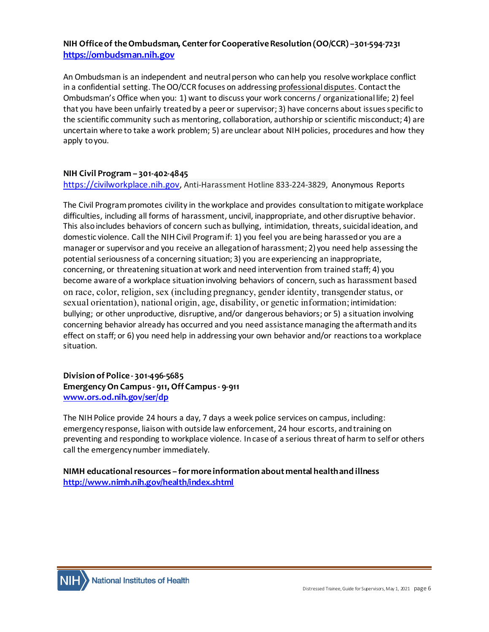#### **NIH Office of the Ombudsman, Center for Cooperative Resolution (OO/CCR) –301-594-7231 [https://ombudsman.nih.gov](https://ombudsman.nih.gov/)**

An Ombudsman is an independent and neutral person who can help you resolve workplace conflict in a confidential setting. The OO/CCR focuses on addressing professional disputes. Contact the Ombudsman's Office when you: 1) want to discuss your work concerns / organizational life; 2) feel that you have been unfairly treated by a peer or supervisor; 3) have concerns about issues specific to the scientific community such as mentoring, collaboration, authorship or scientific misconduct; 4) are uncertain where to take a work problem; 5) are unclear about NIH policies, procedures and how they apply to you.

#### **NIH Civil Program – 301-402-4845**

[https://civilworkplace.nih.gov,](https://civilworkplace.nih.gov/) Anti-Harassment Hotline 833-224-3829, Anonymous Reports

The Civil Program promotes civility in the workplace and provides consultation to mitigate workplace difficulties, including all forms of harassment, uncivil, inappropriate, and other disruptive behavior. This also includes behaviors of concern such as bullying, intimidation, threats, suicidal ideation, and domestic violence. Call the NIH Civil Program if: 1) you feel you are being harassed or you are a manager or supervisor and you receive an allegation of harassment; 2) you need help assessing the potential seriousness of a concerning situation; 3) you are experiencing an inappropriate, concerning, or threatening situation at work and need intervention from trained staff; 4) you become aware of a workplace situation involving behaviors of concern, such as harassment based on race, color, religion, sex (including pregnancy, gender identity, transgender status, or sexual orientation), national origin, age, disability, or genetic information; intimidation: bullying; or other unproductive, disruptive, and/or dangerous behaviors; or 5) a situation involving concerning behavior already has occurred and you need assistance managing the aftermath and its effect on staff; or 6) you need help in addressing your own behavior and/or reactions to a workplace situation.

**Division of Police - 301-496-5685 Emergency On Campus - 911, Off Campus - 9-911 [www.ors.od.nih.gov/ser/dp](http://www.ors.od.nih.gov/ser/dp)**

The NIH Police provide 24 hours a day, 7 days a week police services on campus, including: emergency response, liaison with outside law enforcement, 24 hour escorts, and training on preventing and responding to workplace violence. In case of a serious threat of harm to self or others call the emergency number immediately.

#### **NIMH educational resources – for more information about mental health and illness <http://www.nimh.nih.gov/health/index.shtml>**